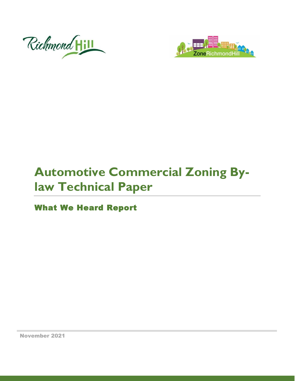



# **Automotive Commercial Zoning Bylaw Technical Paper**

What We Heard Report

November 2021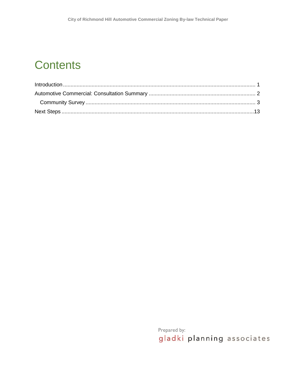### **Contents**

Prepared by: gladki planning associates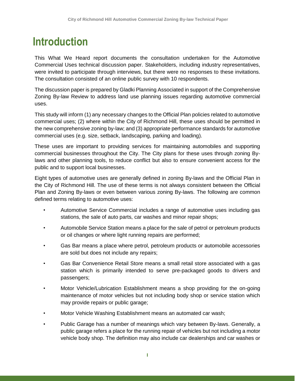### <span id="page-2-0"></span>**Introduction**

This What We Heard report documents the consultation undertaken for the Automotive Commercial Uses technical discussion paper. Stakeholders, including industry representatives, were invited to participate through interviews, but there were no responses to these invitations. The consultation consisted of an online public survey with 10 respondents.

The discussion paper is prepared by Gladki Planning Associated in support of the Comprehensive Zoning By-law Review to address land use planning issues regarding automotive commercial uses.

This study will inform (1) any necessary changes to the Official Plan policies related to automotive commercial uses; (2) where within the City of Richmond Hill, these uses should be permitted in the new comprehensive zoning by-law; and (3) appropriate performance standards for automotive commercial uses (e.g. size, setback, landscaping, parking and loading).

These uses are important to providing services for maintaining automobiles and supporting commercial businesses throughout the City. The City plans for these uses through zoning Bylaws and other planning tools, to reduce conflict but also to ensure convenient access for the public and to support local businesses.

Eight types of automotive uses are generally defined in zoning By-laws and the Official Plan in the City of Richmond Hill. The use of these terms is not always consistent between the Official Plan and Zoning By-laws or even between various zoning By-laws. The following are common defined terms relating to automotive uses:

- Automotive Service Commercial includes a range of automotive uses including gas stations, the sale of auto parts, car washes and minor repair shops;
- Automobile Service Station means a place for the sale of petrol or petroleum products or oil changes or where light running repairs are performed;
- Gas Bar means a place where petrol, petroleum products or automobile accessories are sold but does not include any repairs;
- Gas Bar Convenience Retail Store means a small retail store associated with a gas station which is primarily intended to serve pre-packaged goods to drivers and passengers;
- Motor Vehicle/Lubrication Establishment means a shop providing for the on-going maintenance of motor vehicles but not including body shop or service station which may provide repairs or public garage;
- Motor Vehicle Washing Establishment means an automated car wash;
- Public Garage has a number of meanings which vary between By-laws. Generally, a public garage refers a place for the running repair of vehicles but not including a motor vehicle body shop. The definition may also include car dealerships and car washes or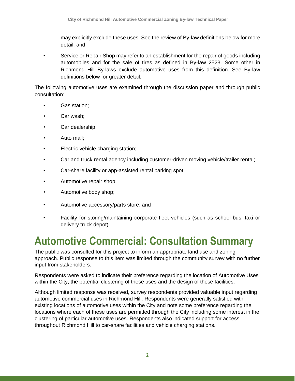may explicitly exclude these uses. See the review of By-law definitions below for more detail; and,

• Service or Repair Shop may refer to an establishment for the repair of goods including automobiles and for the sale of tires as defined in By-law 2523. Some other in Richmond Hill By-laws exclude automotive uses from this definition. See By-law definitions below for greater detail.

The following automotive uses are examined through the discussion paper and through public consultation:

- Gas station;
- Car wash;
- Car dealership;
- Auto mall;
- Electric vehicle charging station;
- Car and truck rental agency including customer-driven moving vehicle/trailer rental;
- Car-share facility or app-assisted rental parking spot;
- Automotive repair shop;
- Automotive body shop;
- Automotive accessory/parts store; and
- Facility for storing/maintaining corporate fleet vehicles (such as school bus, taxi or delivery truck depot).

### <span id="page-3-0"></span>**Automotive Commercial: Consultation Summary**

The public was consulted for this project to inform an appropriate land use and zoning approach. Public response to this item was limited through the community survey with no further input from stakeholders.

Respondents were asked to indicate their preference regarding the location of Automotive Uses within the City, the potential clustering of these uses and the design of these facilities.

Although limited response was received, survey respondents provided valuable input regarding automotive commercial uses in Richmond Hill. Respondents were generally satisfied with existing locations of automotive uses within the City and note some preference regarding the locations where each of these uses are permitted through the City including some interest in the clustering of particular automotive uses. Respondents also indicated support for access throughout Richmond Hill to car-share facilities and vehicle charging stations.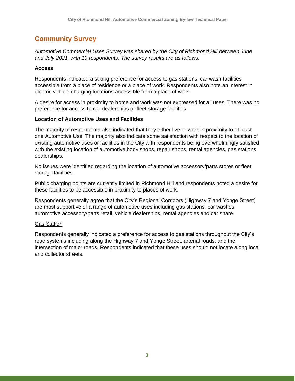### <span id="page-4-0"></span>**Community Survey**

*Automotive Commercial Uses Survey was shared by the City of Richmond Hill between June and July 2021, with 10 respondents. The survey results are as follows.*

#### **Access**

Respondents indicated a strong preference for access to gas stations, car wash facilities accessible from a place of residence or a place of work. Respondents also note an interest in electric vehicle charging locations accessible from a place of work.

A desire for access in proximity to home and work was not expressed for all uses. There was no preference for access to car dealerships or fleet storage facilities.

#### **Location of Automotive Uses and Facilities**

The majority of respondents also indicated that they either live or work in proximity to at least one Automotive Use. The majority also indicate some satisfaction with respect to the location of existing automotive uses or facilities in the City with respondents being overwhelmingly satisfied with the existing location of automotive body shops, repair shops, rental agencies, gas stations, dealerships.

No issues were identified regarding the location of automotive accessory/parts stores or fleet storage facilities.

Public charging points are currently limited in Richmond Hill and respondents noted a desire for these facilities to be accessible in proximity to places of work.

Respondents generally agree that the City's Regional Corridors (Highway 7 and Yonge Street) are most supportive of a range of automotive uses including gas stations, car washes, automotive accessory/parts retail, vehicle dealerships, rental agencies and car share.

#### Gas Station

Respondents generally indicated a preference for access to gas stations throughout the City's road systems including along the Highway 7 and Yonge Street, arterial roads, and the intersection of major roads. Respondents indicated that these uses should not locate along local and collector streets.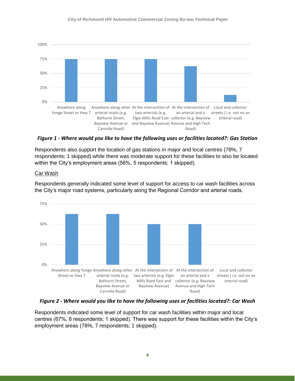

*Figure 1 - Where would you like to have the following uses or facilities located?: Gas Station*

Respondents also support the location of gas stations in major and local centres (78%, 7 respondents; 1 skipped) while there was moderate support for these facilities to also be located within the City's employment areas (56%, 5 respondents; 1 skipped).

#### Car Wash

Respondents generally indicated some level of support for access to car wash facilities across the City's major road systems, particularly along the Regional Corridor and arterial roads.



*Figure 2 - Where would you like to have the following uses or facilities located?: Car Wash*

Respondents indicated some level of support for car wash facilities within major and local centres (67%, 6 respondents; 1 skipped). There was support for these facilities within the City's employment areas (78%, 7 respondents; 1 skipped).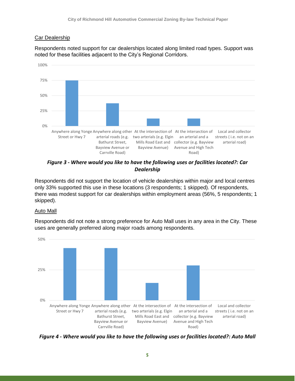#### Car Dealership

Respondents noted support for car dealerships located along limited road types. Support was noted for these facilities adjacent to the City's Regional Corridors.



*Figure 3 - Where would you like to have the following uses or facilities located?: Car Dealership*

Respondents did not support the location of vehicle dealerships within major and local centres only 33% supported this use in these locations (3 respondents; 1 skipped). Of respondents, there was modest support for car dealerships within employment areas (56%, 5 respondents; 1 skipped).

#### Auto Mall

Respondents did not note a strong preference for Auto Mall uses in any area in the City. These uses are generally preferred along major roads among respondents.



*Figure 4 - Where would you like to have the following uses or facilities located?: Auto Mall*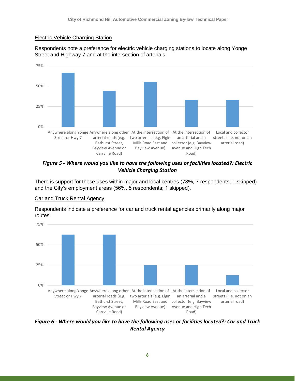#### Electric Vehicle Charging Station

Respondents note a preference for electric vehicle charging stations to locate along Yonge Street and Highway 7 and at the intersection of arterials.



*Figure 5 - Where would you like to have the following uses or facilities located?: Electric Vehicle Charging Station*

There is support for these uses within major and local centres (78%, 7 respondents; 1 skipped) and the City's employment areas (56%, 5 respondents; 1 skipped).

#### Car and Truck Rental Agency

Respondents indicate a preference for car and truck rental agencies primarily along major routes.



*Figure 6 - Where would you like to have the following uses or facilities located?: Car and Truck Rental Agency*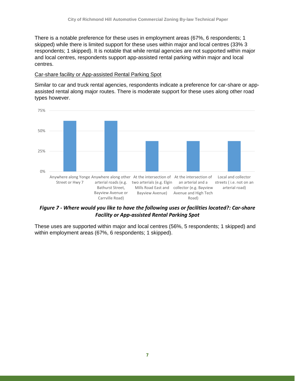There is a notable preference for these uses in employment areas (67%, 6 respondents; 1 skipped) while there is limited support for these uses within major and local centres (33% 3 respondents; 1 skipped). It is notable that while rental agencies are not supported within major and local centres, respondents support app-assisted rental parking within major and local centres.

#### Car-share facility or App-assisted Rental Parking Spot

Similar to car and truck rental agencies, respondents indicate a preference for car-share or appassisted rental along major routes. There is moderate support for these uses along other road types however.



*Figure 7 - Where would you like to have the following uses or facilities located?: Car-share Facility or App-assisted Rental Parking Spot*

These uses are supported within major and local centres (56%, 5 respondents; 1 skipped) and within employment areas (67%, 6 respondents; 1 skipped).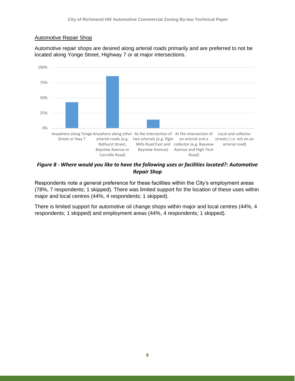#### Automotive Repair Shop

Automotive repair shops are desired along arterial roads primarily and are preferred to not be located along Yonge Street, Highway 7 or at major intersections.



*Figure 8 - Where would you like to have the following uses or facilities located?: Automotive Repair Shop*

Respondents note a general preference for these facilities within the City's employment areas (78%, 7 respondents; 1 skipped). There was limited support for the location of these uses within major and local centres (44%, 4 respondents; 1 skipped).

There is limited support for automotive oil change shops within major and local centres (44%, 4 respondents; 1 skipped) and employment areas (44%, 4 respondents; 1 skipped).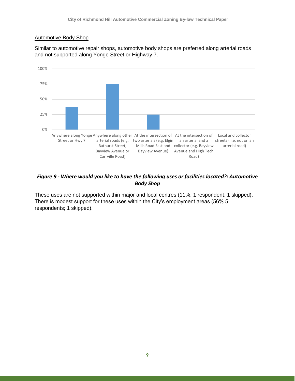#### Automotive Body Shop

Similar to automotive repair shops, automotive body shops are preferred along arterial roads and not supported along Yonge Street or Highway 7.



#### *Figure 9 - Where would you like to have the following uses or facilities located?: Automotive Body Shop*

These uses are not supported within major and local centres (11%, 1 respondent; 1 skipped). There is modest support for these uses within the City's employment areas (56% 5 respondents; 1 skipped).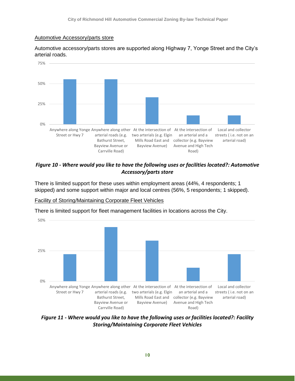#### Automotive Accessory/parts store

Automotive accessory/parts stores are supported along Highway 7, Yonge Street and the City's arterial roads.



#### *Figure 10 - Where would you like to have the following uses or facilities located?: Automotive Accessory/parts store*

There is limited support for these uses within employment areas (44%, 4 respondents; 1 skipped) and some support within major and local centres (56%, 5 respondents; 1 skipped).



Facility of Storing/Maintaining Corporate Fleet Vehicles

*Figure 11 - Where would you like to have the following uses or facilities located?: Facility Storing/Maintaining Corporate Fleet Vehicles*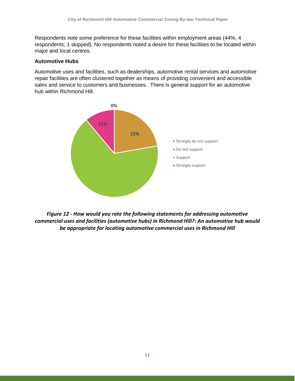Respondents note some preference for these facilities within employment areas (44%, 4 respondents; 1 skipped). No respondents noted a desire for these facilities to be located within major and local centres.

#### **Automotive Hubs**

Automotive uses and facilities, such as dealerships, automotive rental services and automotive repair facilities are often clustered together as means of providing convenient and accessible sales and service to customers and businesses. There is general support for an automotive hub within Richmond Hill.



*Figure 12 - How would you rate the following statements for addressing automotive commercial uses and facilities (automotive hubs) in Richmond Hill?: An automotive hub would be appropriate for locating automotive commercial uses in Richmond Hill*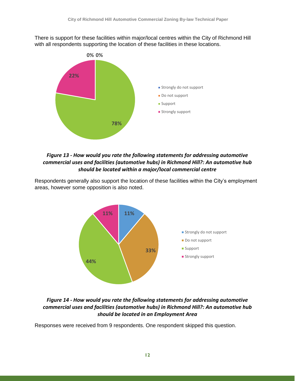There is support for these facilities within major/local centres within the City of Richmond Hill with all respondents supporting the location of these facilities in these locations.



#### *Figure 13 - How would you rate the following statements for addressing automotive commercial uses and facilities (automotive hubs) in Richmond Hill?: An automotive hub should be located within a major/local commercial centre*

Respondents generally also support the location of these facilities within the City's employment areas, however some opposition is also noted.



#### *Figure 14 - How would you rate the following statements for addressing automotive commercial uses and facilities (automotive hubs) in Richmond Hill?: An automotive hub should be located in an Employment Area*

Responses were received from 9 respondents. One respondent skipped this question.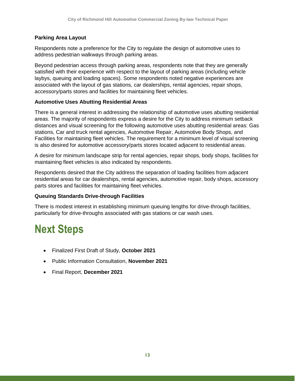#### **Parking Area Layout**

Respondents note a preference for the City to regulate the design of automotive uses to address pedestrian walkways through parking areas.

Beyond pedestrian access through parking areas, respondents note that they are generally satisfied with their experience with respect to the layout of parking areas (including vehicle laybys, queuing and loading spaces). Some respondents noted negative experiences are associated with the layout of gas stations, car dealerships, rental agencies, repair shops, accessory/parts stores and facilities for maintaining fleet vehicles.

#### **Automotive Uses Abutting Residential Areas**

There is a general interest in addressing the relationship of automotive uses abutting residential areas. The majority of respondents express a desire for the City to address minimum setback distances and visual screening for the following automotive uses abutting residential areas: Gas stations, Car and truck rental agencies, Automotive Repair, Automotive Body Shops, and Facilities for maintaining fleet vehicles. The requirement for a minimum level of visual screening is also desired for automotive accessory/parts stores located adjacent to residential areas.

A desire for minimum landscape strip for rental agencies, repair shops, body shops, facilities for maintaining fleet vehicles is also indicated by respondents.

Respondents desired that the City address the separation of loading facilities from adjacent residential areas for car dealerships, rental agencies, automotive repair, body shops, accessory parts stores and facilities for maintaining fleet vehicles.

#### **Queuing Standards Drive-through Facilities**

There is modest interest in establishing minimum queuing lengths for drive-through facilities, particularly for drive-throughs associated with gas stations or car wash uses.

## <span id="page-14-0"></span>**Next Steps**

- Finalized First Draft of Study, **October 2021**
- Public Information Consultation, **November 2021**
- Final Report, **December 2021**